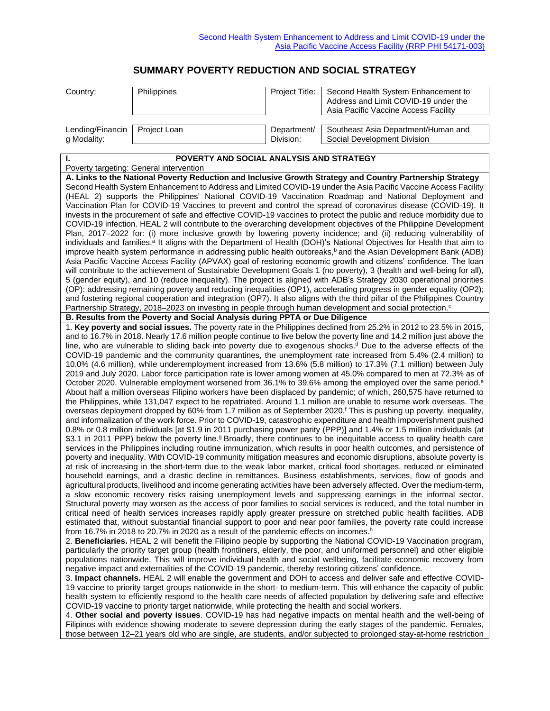## **SUMMARY POVERTY REDUCTION AND SOCIAL STRATEGY**

| Country:         | <b>Philippines</b> | Project Title: | Second Health System Enhancement to<br>Address and Limit COVID-19 under the<br>Asia Pacific Vaccine Access Facility |
|------------------|--------------------|----------------|---------------------------------------------------------------------------------------------------------------------|
| Lending/Financin | Project Loan       | Department/    | Southeast Asia Department/Human and                                                                                 |
| g Modality:      |                    | Division:      | Social Development Division                                                                                         |

| POVERTY AND SOCIAL ANALYSIS AND STRATEGY                                                                                                                                                                                                                                                                                                                                                                                                                                                               |
|--------------------------------------------------------------------------------------------------------------------------------------------------------------------------------------------------------------------------------------------------------------------------------------------------------------------------------------------------------------------------------------------------------------------------------------------------------------------------------------------------------|
| Poverty targeting: General intervention                                                                                                                                                                                                                                                                                                                                                                                                                                                                |
| A. Links to the National Poverty Reduction and Inclusive Growth Strategy and Country Partnership Strategy                                                                                                                                                                                                                                                                                                                                                                                              |
| Second Health System Enhancement to Address and Limited COVID-19 under the Asia Pacific Vaccine Access Facility<br>(HEAL 2) supports the Philippines' National COVID-19 Vaccination Roadmap and National Deployment and<br>Vaccination Plan for COVID-19 Vaccines to prevent and control the spread of coronavirus disease (COVID-19). It                                                                                                                                                              |
| invests in the procurement of safe and effective COVID-19 vaccines to protect the public and reduce morbidity due to<br>COVID-19 infection. HEAL 2 will contribute to the overarching development objectives of the Philippine Development                                                                                                                                                                                                                                                             |
| Plan, 2017-2022 for: (i) more inclusive growth by lowering poverty incidence; and (ii) reducing vulnerability of<br>individuals and families. <sup>a</sup> It aligns with the Department of Health (DOH)'s National Objectives for Health that aim to<br>improve health system performance in addressing public health outbreaks, <sup>b</sup> and the Asian Development Bank (ADB)                                                                                                                    |
| Asia Pacific Vaccine Access Facility (APVAX) goal of restoring economic growth and citizens' confidence. The loan<br>will contribute to the achievement of Sustainable Development Goals 1 (no poverty), 3 (health and well-being for all),<br>5 (gender equity), and 10 (reduce inequality). The project is aligned with ADB's Strategy 2030 operational priorities                                                                                                                                   |
| (OP): addressing remaining poverty and reducing inequalities (OP1), accelerating progress in gender equality (OP2);<br>and fostering regional cooperation and integration (OP7). It also aligns with the third pillar of the Philippines Country                                                                                                                                                                                                                                                       |
| Partnership Strategy, 2018-2023 on investing in people through human development and social protection. <sup>c</sup>                                                                                                                                                                                                                                                                                                                                                                                   |
| B. Results from the Poverty and Social Analysis during PPTA or Due Diligence                                                                                                                                                                                                                                                                                                                                                                                                                           |
| 1. Key poverty and social issues. The poverty rate in the Philippines declined from 25.2% in 2012 to 23.5% in 2015,<br>and to 16.7% in 2018. Nearly 17.6 million people continue to live below the poverty line and 14.2 million just above the                                                                                                                                                                                                                                                        |
| line, who are vulnerable to sliding back into poverty due to exogenous shocks. <sup>d</sup> Due to the adverse effects of the<br>COVID-19 pandemic and the community quarantines, the unemployment rate increased from 5.4% (2.4 million) to<br>10.0% (4.6 million), while underemployment increased from 13.6% (5.8 million) to 17.3% (7.1 million) between July                                                                                                                                      |
| 2019 and July 2020. Labor force participation rate is lower among women at 45.0% compared to men at 72.3% as of<br>October 2020. Vulnerable employment worsened from 36.1% to 39.6% among the employed over the same period. <sup>e</sup>                                                                                                                                                                                                                                                              |
| About half a million overseas Filipino workers have been displaced by pandemic; of which, 260,575 have returned to<br>the Philippines, while 131,047 expect to be repatriated. Around 1.1 million are unable to resume work overseas. The                                                                                                                                                                                                                                                              |
| overseas deployment dropped by 60% from 1.7 million as of September 2020. <sup>f</sup> This is pushing up poverty, inequality,<br>and informalization of the work force. Prior to COVID-19, catastrophic expenditure and health impoverishment pushed<br>0.8% or 0.8 million individuals [at \$1.9 in 2011 purchasing power parity (PPP)] and 1.4% or 1.5 million individuals (at                                                                                                                      |
| \$3.1 in 2011 PPP) below the poverty line. <sup>9</sup> Broadly, there continues to be inequitable access to quality health care<br>services in the Philippines including routine immunization, which results in poor health outcomes, and persistence of<br>poverty and inequality. With COVID-19 community mitigation measures and economic disruptions, absolute poverty is<br>at risk of increasing in the short-term due to the weak labor market, critical food shortages, reduced or eliminated |
| household earnings, and a drastic decline in remittances. Business establishments, services, flow of goods and<br>agricultural products, livelihood and income generating activities have been adversely affected. Over the medium-term,                                                                                                                                                                                                                                                               |
| a slow economic recovery risks raising unemployment levels and suppressing earnings in the informal sector.<br>Structural poverty may worsen as the access of poor families to social services is reduced, and the total number in                                                                                                                                                                                                                                                                     |
| critical need of health services increases rapidly apply greater pressure on stretched public health facilities. ADB<br>estimated that, without substantial financial support to poor and near poor families, the poverty rate could increase<br>from 16.7% in 2018 to 20.7% in 2020 as a result of the pandemic effects on incomes. <sup>h</sup>                                                                                                                                                      |
| 2. Beneficiaries. HEAL 2 will benefit the Filipino people by supporting the National COVID-19 Vaccination program,<br>particularly the priority target group (health frontliners, elderly, the poor, and uniformed personnel) and other eligible                                                                                                                                                                                                                                                       |
| populations nationwide. This will improve individual health and social wellbeing, facilitate economic recovery from<br>negative impact and externalities of the COVID-19 pandemic, thereby restoring citizens' confidence.                                                                                                                                                                                                                                                                             |
| 3. Impact channels. HEAL 2 will enable the government and DOH to access and deliver safe and effective COVID-<br>19 vaccine to priority target groups nationwide in the short- to medium-term. This will enhance the capacity of public                                                                                                                                                                                                                                                                |
| health system to efficiently respond to the health care needs of affected population by delivering safe and effective<br>COVID-19 vaccine to priority target nationwide, while protecting the health and social workers.                                                                                                                                                                                                                                                                               |
| 4. Other social and poverty issues. COVID-19 has had negative impacts on mental health and the well-being of<br>Filipinos with evidence showing moderate to severe depression during the early stages of the pandemic. Females,<br>those between 12-21 years old who are single, are students, and/or subjected to prolonged stay-at-home restriction                                                                                                                                                  |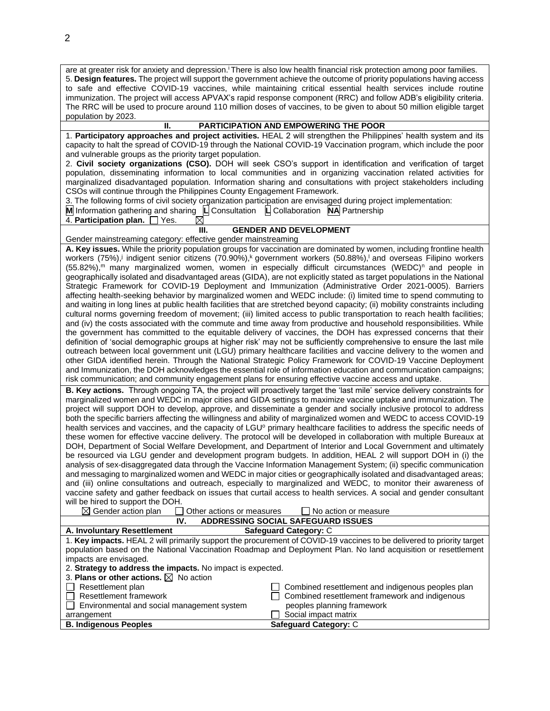| are at greater risk for anxiety and depression. <sup><i>i</i></sup> There is also low health financial risk protection among poor families.<br>5. Design features. The project will support the government achieve the outcome of priority populations having access<br>to safe and effective COVID-19 vaccines, while maintaining critical essential health services include routine<br>immunization. The project will access APVAX's rapid response component (RRC) and follow ADB's eligibility criteria.<br>The RRC will be used to procure around 110 million doses of vaccines, to be given to about 50 million eligible target<br>population by 2023.                                                                                                                                                                                                                                                                                                                                                                                                                                                                                                                                                                                                                                                                                                                                                                                                                                                                                                                                                                                                                                                                                                                                                                   |  |  |  |  |
|--------------------------------------------------------------------------------------------------------------------------------------------------------------------------------------------------------------------------------------------------------------------------------------------------------------------------------------------------------------------------------------------------------------------------------------------------------------------------------------------------------------------------------------------------------------------------------------------------------------------------------------------------------------------------------------------------------------------------------------------------------------------------------------------------------------------------------------------------------------------------------------------------------------------------------------------------------------------------------------------------------------------------------------------------------------------------------------------------------------------------------------------------------------------------------------------------------------------------------------------------------------------------------------------------------------------------------------------------------------------------------------------------------------------------------------------------------------------------------------------------------------------------------------------------------------------------------------------------------------------------------------------------------------------------------------------------------------------------------------------------------------------------------------------------------------------------------|--|--|--|--|
| П.<br>PARTICIPATION AND EMPOWERING THE POOR                                                                                                                                                                                                                                                                                                                                                                                                                                                                                                                                                                                                                                                                                                                                                                                                                                                                                                                                                                                                                                                                                                                                                                                                                                                                                                                                                                                                                                                                                                                                                                                                                                                                                                                                                                                    |  |  |  |  |
| 1. Participatory approaches and project activities. HEAL 2 will strengthen the Philippines' health system and its<br>capacity to halt the spread of COVID-19 through the National COVID-19 Vaccination program, which include the poor<br>and vulnerable groups as the priority target population.<br>2. Civil society organizations (CSO). DOH will seek CSO's support in identification and verification of target<br>population, disseminating information to local communities and in organizing vaccination related activities for                                                                                                                                                                                                                                                                                                                                                                                                                                                                                                                                                                                                                                                                                                                                                                                                                                                                                                                                                                                                                                                                                                                                                                                                                                                                                        |  |  |  |  |
| marginalized disadvantaged population. Information sharing and consultations with project stakeholders including<br>CSOs will continue through the Philippines County Engagement Framework.<br>3. The following forms of civil society organization participation are envisaged during project implementation:<br>M Information gathering and sharing L Consultation L Collaboration NA Partnership                                                                                                                                                                                                                                                                                                                                                                                                                                                                                                                                                                                                                                                                                                                                                                                                                                                                                                                                                                                                                                                                                                                                                                                                                                                                                                                                                                                                                            |  |  |  |  |
| 4. Participation plan. 7 Yes.<br>⊠                                                                                                                                                                                                                                                                                                                                                                                                                                                                                                                                                                                                                                                                                                                                                                                                                                                                                                                                                                                                                                                                                                                                                                                                                                                                                                                                                                                                                                                                                                                                                                                                                                                                                                                                                                                             |  |  |  |  |
| <b>GENDER AND DEVELOPMENT</b><br>Ш.                                                                                                                                                                                                                                                                                                                                                                                                                                                                                                                                                                                                                                                                                                                                                                                                                                                                                                                                                                                                                                                                                                                                                                                                                                                                                                                                                                                                                                                                                                                                                                                                                                                                                                                                                                                            |  |  |  |  |
| Gender mainstreaming category: effective gender mainstreaming                                                                                                                                                                                                                                                                                                                                                                                                                                                                                                                                                                                                                                                                                                                                                                                                                                                                                                                                                                                                                                                                                                                                                                                                                                                                                                                                                                                                                                                                                                                                                                                                                                                                                                                                                                  |  |  |  |  |
| A. Key issues. While the priority population groups for vaccination are dominated by women, including frontline health<br>workers (75%), indigent senior citizens (70.90%), government workers (50.88%), and overseas Filipino workers<br>(55.82%), <sup>m</sup> many marginalized women, women in especially difficult circumstances (WEDC) <sup>n</sup> and people in<br>geographically isolated and disadvantaged areas (GIDA), are not explicitly stated as target populations in the National<br>Strategic Framework for COVID-19 Deployment and Immunization (Administrative Order 2021-0005). Barriers<br>affecting health-seeking behavior by marginalized women and WEDC include: (i) limited time to spend commuting to<br>and waiting in long lines at public health facilities that are stretched beyond capacity; (ii) mobility constraints including<br>cultural norms governing freedom of movement; (iii) limited access to public transportation to reach health facilities;<br>and (iv) the costs associated with the commute and time away from productive and household responsibilities. While<br>the government has committed to the equitable delivery of vaccines, the DOH has expressed concerns that their<br>definition of 'social demographic groups at higher risk' may not be sufficiently comprehensive to ensure the last mile<br>outreach between local government unit (LGU) primary healthcare facilities and vaccine delivery to the women and<br>other GIDA identified herein. Through the National Strategic Policy Framework for COVID-19 Vaccine Deployment<br>and Immunization, the DOH acknowledges the essential role of information education and communication campaigns;<br>risk communication; and community engagement plans for ensuring effective vaccine access and uptake. |  |  |  |  |
| B. Key actions. Through ongoing TA, the project will proactively target the 'last mile' service delivery constraints for<br>marginalized women and WEDC in major cities and GIDA settings to maximize vaccine uptake and immunization. The<br>project will support DOH to develop, approve, and disseminate a gender and socially inclusive protocol to address<br>both the specific barriers affecting the willingness and ability of marginalized women and WEDC to access COVID-19<br>health services and vaccines, and the capacity of LGU <sup>o</sup> primary healthcare facilities to address the specific needs of<br>these women for effective vaccine delivery. The protocol will be developed in collaboration with multiple Bureaux at<br>DOH, Department of Social Welfare Development, and Department of Interior and Local Government and ultimately<br>be resourced via LGU gender and development program budgets. In addition, HEAL 2 will support DOH in (i) the<br>analysis of sex-disaggregated data through the Vaccine Information Management System; (ii) specific communication<br>and messaging to marginalized women and WEDC in major cities or geographically isolated and disadvantaged areas;<br>and (iii) online consultations and outreach, especially to marginalized and WEDC, to monitor their awareness of<br>vaccine safety and gather feedback on issues that curtail access to health services. A social and gender consultant<br>will be hired to support the DOH.<br>$\boxtimes$ Gender action plan<br>Other actions or measures<br>No action or measure<br>ADDRESSING SOCIAL SAFEGUARD ISSUES<br>IV.                                                                                                                                                                                |  |  |  |  |
|                                                                                                                                                                                                                                                                                                                                                                                                                                                                                                                                                                                                                                                                                                                                                                                                                                                                                                                                                                                                                                                                                                                                                                                                                                                                                                                                                                                                                                                                                                                                                                                                                                                                                                                                                                                                                                |  |  |  |  |
| Safeguard Category: C<br>A. Involuntary Resettlement                                                                                                                                                                                                                                                                                                                                                                                                                                                                                                                                                                                                                                                                                                                                                                                                                                                                                                                                                                                                                                                                                                                                                                                                                                                                                                                                                                                                                                                                                                                                                                                                                                                                                                                                                                           |  |  |  |  |
| 1. Key impacts. HEAL 2 will primarily support the procurement of COVID-19 vaccines to be delivered to priority target<br>population based on the National Vaccination Roadmap and Deployment Plan. No land acquisition or resettlement<br>impacts are envisaged.<br>2. Strategy to address the impacts. No impact is expected.                                                                                                                                                                                                                                                                                                                                                                                                                                                                                                                                                                                                                                                                                                                                                                                                                                                                                                                                                                                                                                                                                                                                                                                                                                                                                                                                                                                                                                                                                                 |  |  |  |  |
| 3. Plans or other actions. $\boxtimes$ No action                                                                                                                                                                                                                                                                                                                                                                                                                                                                                                                                                                                                                                                                                                                                                                                                                                                                                                                                                                                                                                                                                                                                                                                                                                                                                                                                                                                                                                                                                                                                                                                                                                                                                                                                                                               |  |  |  |  |
| Resettlement plan<br>Combined resettlement and indigenous peoples plan<br>$\Box$ Resettlement framework<br>Combined resettlement framework and indigenous                                                                                                                                                                                                                                                                                                                                                                                                                                                                                                                                                                                                                                                                                                                                                                                                                                                                                                                                                                                                                                                                                                                                                                                                                                                                                                                                                                                                                                                                                                                                                                                                                                                                      |  |  |  |  |
| $\Box$ Environmental and social management system<br>peoples planning framework                                                                                                                                                                                                                                                                                                                                                                                                                                                                                                                                                                                                                                                                                                                                                                                                                                                                                                                                                                                                                                                                                                                                                                                                                                                                                                                                                                                                                                                                                                                                                                                                                                                                                                                                                |  |  |  |  |
| Social impact matrix<br>arrangement                                                                                                                                                                                                                                                                                                                                                                                                                                                                                                                                                                                                                                                                                                                                                                                                                                                                                                                                                                                                                                                                                                                                                                                                                                                                                                                                                                                                                                                                                                                                                                                                                                                                                                                                                                                            |  |  |  |  |
| <b>B. Indigenous Peoples</b><br>Safeguard Category: C                                                                                                                                                                                                                                                                                                                                                                                                                                                                                                                                                                                                                                                                                                                                                                                                                                                                                                                                                                                                                                                                                                                                                                                                                                                                                                                                                                                                                                                                                                                                                                                                                                                                                                                                                                          |  |  |  |  |

|  |   | I             |
|--|---|---------------|
|  | I | I<br>۰,<br>۰, |
|  |   |               |
|  |   |               |